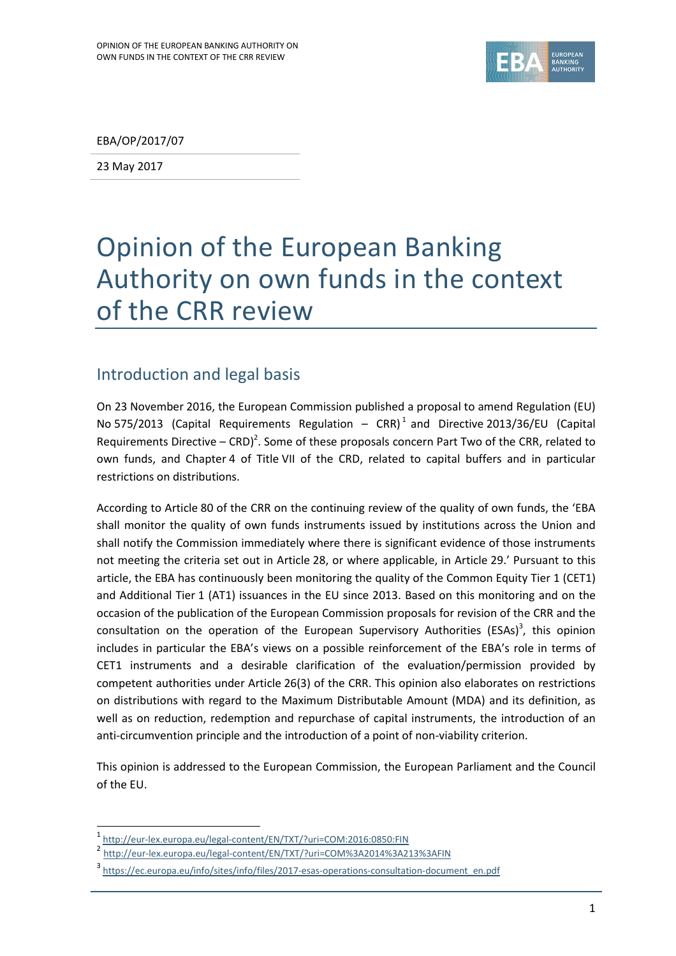

EBA/OP/2017/07

23 May 2017

# Opinion of the European Banking Authority on own funds in the context of the CRR review

# Introduction and legal basis

On 23 November 2016, the European Commission published a proposal to amend Regulation (EU) No 575/2013 (Capital Requirements Regulation  $-$  CRR)<sup>1</sup> and Directive 2013/36/EU (Capital Requirements Directive – CRD)<sup>2</sup>. Some of these proposals concern Part Two of the CRR, related to own funds, and Chapter 4 of Title VII of the CRD, related to capital buffers and in particular restrictions on distributions.

According to Article 80 of the CRR on the continuing review of the quality of own funds, the 'EBA shall monitor the quality of own funds instruments issued by institutions across the Union and shall notify the Commission immediately where there is significant evidence of those instruments not meeting the criteria set out in Article 28, or where applicable, in Article 29.' Pursuant to this article, the EBA has continuously been monitoring the quality of the Common Equity Tier 1 (CET1) and Additional Tier 1 (AT1) issuances in the EU since 2013. Based on this monitoring and on the occasion of the publication of the European Commission proposals for revision of the CRR and the consultation on the operation of the European Supervisory Authorities (ESAs)<sup>3</sup>, this opinion includes in particular the EBA's views on a possible reinforcement of the EBA's role in terms of CET1 instruments and a desirable clarification of the evaluation/permission provided by competent authorities under Article 26(3) of the CRR. This opinion also elaborates on restrictions on distributions with regard to the Maximum Distributable Amount (MDA) and its definition, as well as on reduction, redemption and repurchase of capital instruments, the introduction of an anti-circumvention principle and the introduction of a point of non-viability criterion.

This opinion is addressed to the European Commission, the European Parliament and the Council of the EU.

<sup>1</sup> <http://eur-lex.europa.eu/legal-content/EN/TXT/?uri=COM:2016:0850:FIN>

<sup>2</sup> <http://eur-lex.europa.eu/legal-content/EN/TXT/?uri=COM%3A2014%3A213%3AFIN>

<sup>3</sup> [https://ec.europa.eu/info/sites/info/files/2017-esas-operations-consultation-document\\_en.pdf](https://ec.europa.eu/info/sites/info/files/2017-esas-operations-consultation-document_en.pdf)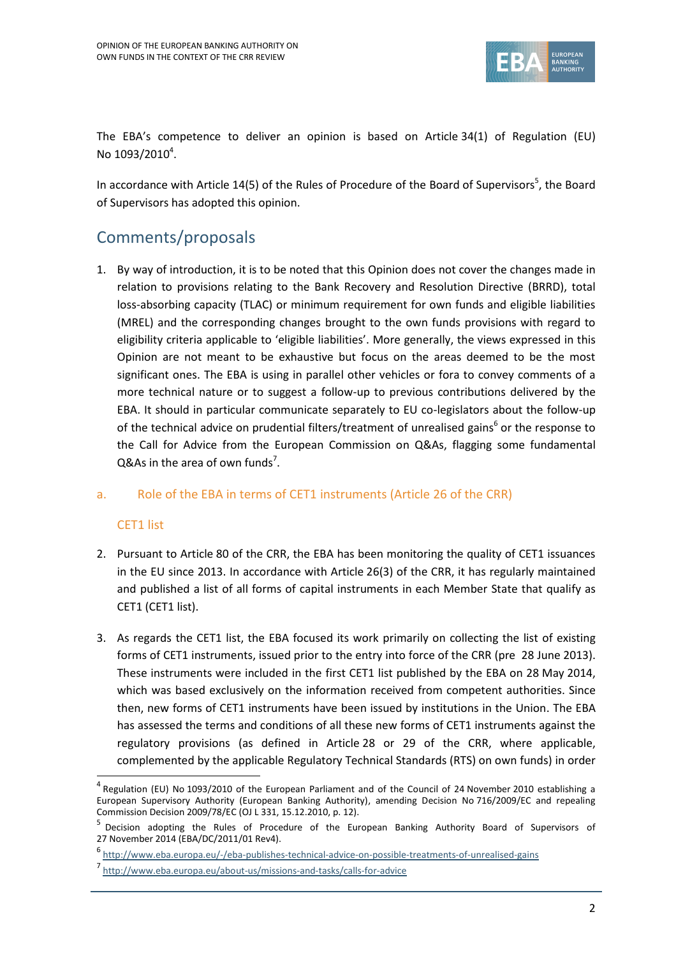

The EBA's competence to deliver an opinion is based on Article 34(1) of Regulation (EU) No  $1093/2010^4$ .

In accordance with Article 14(5) of the Rules of Procedure of the Board of Supervisors<sup>5</sup>, the Board of Supervisors has adopted this opinion.

# Comments/proposals

1. By way of introduction, it is to be noted that this Opinion does not cover the changes made in relation to provisions relating to the Bank Recovery and Resolution Directive (BRRD), total loss-absorbing capacity (TLAC) or minimum requirement for own funds and eligible liabilities (MREL) and the corresponding changes brought to the own funds provisions with regard to eligibility criteria applicable to 'eligible liabilities'. More generally, the views expressed in this Opinion are not meant to be exhaustive but focus on the areas deemed to be the most significant ones. The EBA is using in parallel other vehicles or fora to convey comments of a more technical nature or to suggest a follow-up to previous contributions delivered by the EBA. It should in particular communicate separately to EU co-legislators about the follow-up of the technical advice on prudential filters/treatment of unrealised gains<sup>6</sup> or the response to the Call for Advice from the European Commission on Q&As, flagging some fundamental Q&As in the area of own funds<sup>7</sup>.

# a. Role of the EBA in terms of CET1 instruments (Article 26 of the CRR)

# CET1 list

1

- 2. Pursuant to Article 80 of the CRR, the EBA has been monitoring the quality of CET1 issuances in the EU since 2013. In accordance with Article 26(3) of the CRR, it has regularly maintained and published a list of all forms of capital instruments in each Member State that qualify as CET1 (CET1 list).
- 3. As regards the CET1 list, the EBA focused its work primarily on collecting the list of existing forms of CET1 instruments, issued prior to the entry into force of the CRR (pre 28 June 2013). These instruments were included in the first CET1 list published by the EBA on 28 May 2014, which was based exclusively on the information received from competent authorities. Since then, new forms of CET1 instruments have been issued by institutions in the Union. The EBA has assessed the terms and conditions of all these new forms of CET1 instruments against the regulatory provisions (as defined in Article 28 or 29 of the CRR, where applicable, complemented by the applicable Regulatory Technical Standards (RTS) on own funds) in order

<sup>&</sup>lt;sup>4</sup> Regulation (EU) No 1093/2010 of the European Parliament and of the Council of 24 November 2010 establishing a European Supervisory Authority (European Banking Authority), amending Decision No 716/2009/EC and repealing Commission Decision 2009/78/EC (OJ L 331, 15.12.2010, p. 12).

<sup>5</sup> Decision adopting the Rules of Procedure of the European Banking Authority Board of Supervisors of 27 November 2014 (EBA/DC/2011/01 Rev4).

<sup>6</sup> <http://www.eba.europa.eu/-/eba-publishes-technical-advice-on-possible-treatments-of-unrealised-gains>

<sup>7</sup> <http://www.eba.europa.eu/about-us/missions-and-tasks/calls-for-advice>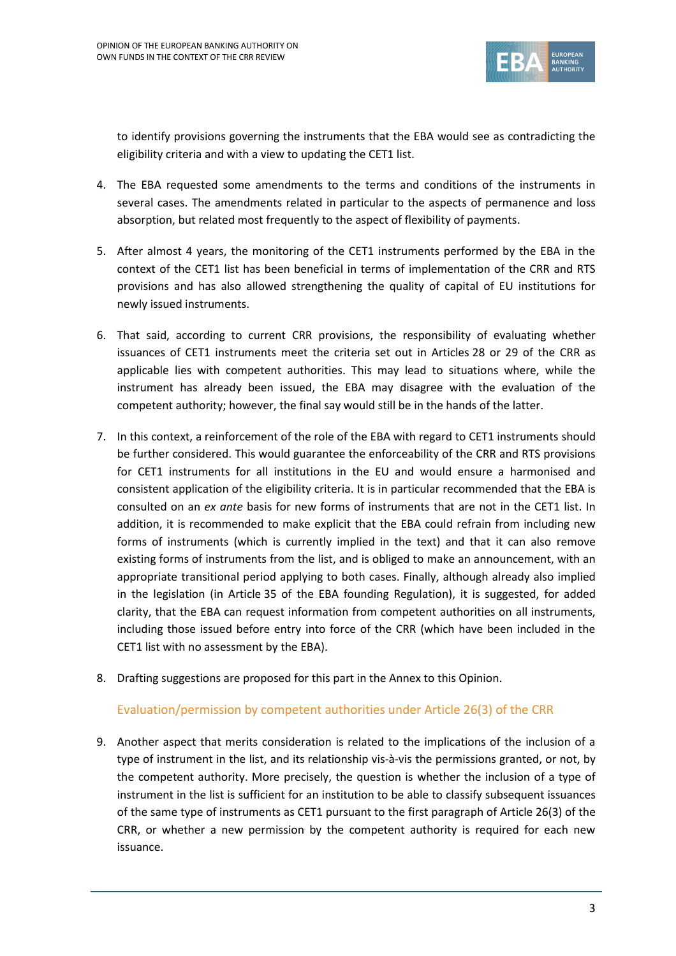

to identify provisions governing the instruments that the EBA would see as contradicting the eligibility criteria and with a view to updating the CET1 list.

- 4. The EBA requested some amendments to the terms and conditions of the instruments in several cases. The amendments related in particular to the aspects of permanence and loss absorption, but related most frequently to the aspect of flexibility of payments.
- 5. After almost 4 years, the monitoring of the CET1 instruments performed by the EBA in the context of the CET1 list has been beneficial in terms of implementation of the CRR and RTS provisions and has also allowed strengthening the quality of capital of EU institutions for newly issued instruments.
- 6. That said, according to current CRR provisions, the responsibility of evaluating whether issuances of CET1 instruments meet the criteria set out in Articles 28 or 29 of the CRR as applicable lies with competent authorities. This may lead to situations where, while the instrument has already been issued, the EBA may disagree with the evaluation of the competent authority; however, the final say would still be in the hands of the latter.
- 7. In this context, a reinforcement of the role of the EBA with regard to CET1 instruments should be further considered. This would guarantee the enforceability of the CRR and RTS provisions for CET1 instruments for all institutions in the EU and would ensure a harmonised and consistent application of the eligibility criteria. It is in particular recommended that the EBA is consulted on an *ex ante* basis for new forms of instruments that are not in the CET1 list. In addition, it is recommended to make explicit that the EBA could refrain from including new forms of instruments (which is currently implied in the text) and that it can also remove existing forms of instruments from the list, and is obliged to make an announcement, with an appropriate transitional period applying to both cases. Finally, although already also implied in the legislation (in Article 35 of the EBA founding Regulation), it is suggested, for added clarity, that the EBA can request information from competent authorities on all instruments, including those issued before entry into force of the CRR (which have been included in the CET1 list with no assessment by the EBA).
- 8. Drafting suggestions are proposed for this part in the Annex to this Opinion.

#### Evaluation/permission by competent authorities under Article 26(3) of the CRR

9. Another aspect that merits consideration is related to the implications of the inclusion of a type of instrument in the list, and its relationship vis-à-vis the permissions granted, or not, by the competent authority. More precisely, the question is whether the inclusion of a type of instrument in the list is sufficient for an institution to be able to classify subsequent issuances of the same type of instruments as CET1 pursuant to the first paragraph of Article 26(3) of the CRR, or whether a new permission by the competent authority is required for each new issuance.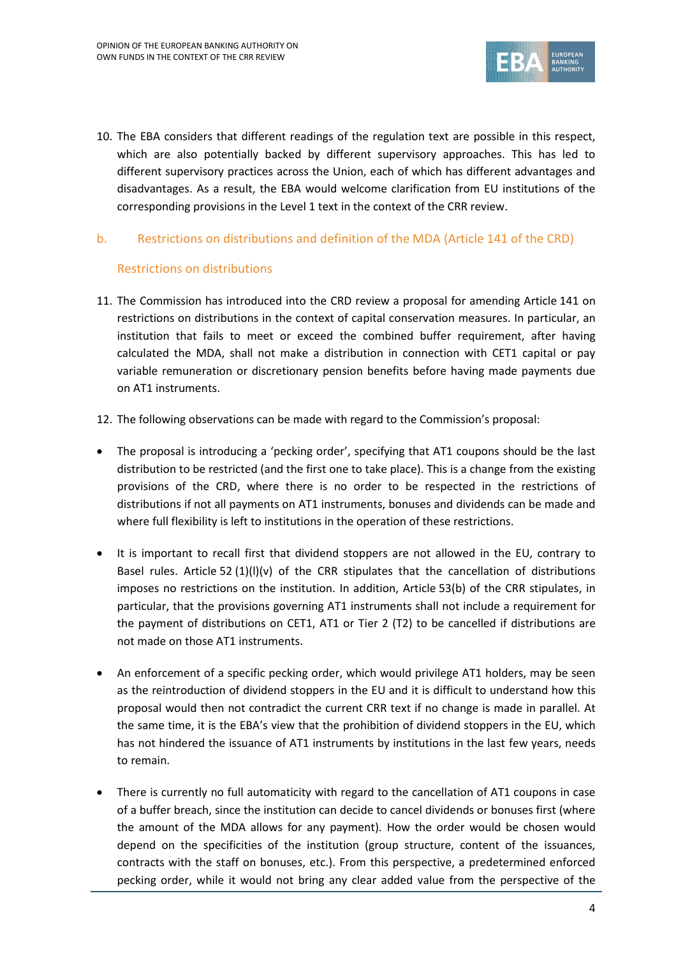

10. The EBA considers that different readings of the regulation text are possible in this respect, which are also potentially backed by different supervisory approaches. This has led to different supervisory practices across the Union, each of which has different advantages and disadvantages. As a result, the EBA would welcome clarification from EU institutions of the corresponding provisions in the Level 1 text in the context of the CRR review.

#### b. Restrictions on distributions and definition of the MDA (Article 141 of the CRD)

#### Restrictions on distributions

- 11. The Commission has introduced into the CRD review a proposal for amending Article 141 on restrictions on distributions in the context of capital conservation measures. In particular, an institution that fails to meet or exceed the combined buffer requirement, after having calculated the MDA, shall not make a distribution in connection with CET1 capital or pay variable remuneration or discretionary pension benefits before having made payments due on AT1 instruments.
- 12. The following observations can be made with regard to the Commission's proposal:
- The proposal is introducing a 'pecking order', specifying that AT1 coupons should be the last distribution to be restricted (and the first one to take place). This is a change from the existing provisions of the CRD, where there is no order to be respected in the restrictions of distributions if not all payments on AT1 instruments, bonuses and dividends can be made and where full flexibility is left to institutions in the operation of these restrictions.
- It is important to recall first that dividend stoppers are not allowed in the EU, contrary to Basel rules. Article 52  $(1)(I)(v)$  of the CRR stipulates that the cancellation of distributions imposes no restrictions on the institution. In addition, Article 53(b) of the CRR stipulates, in particular, that the provisions governing AT1 instruments shall not include a requirement for the payment of distributions on CET1, AT1 or Tier 2 (T2) to be cancelled if distributions are not made on those AT1 instruments.
- An enforcement of a specific pecking order, which would privilege AT1 holders, may be seen as the reintroduction of dividend stoppers in the EU and it is difficult to understand how this proposal would then not contradict the current CRR text if no change is made in parallel. At the same time, it is the EBA's view that the prohibition of dividend stoppers in the EU, which has not hindered the issuance of AT1 instruments by institutions in the last few years, needs to remain.
- There is currently no full automaticity with regard to the cancellation of AT1 coupons in case of a buffer breach, since the institution can decide to cancel dividends or bonuses first (where the amount of the MDA allows for any payment). How the order would be chosen would depend on the specificities of the institution (group structure, content of the issuances, contracts with the staff on bonuses, etc.). From this perspective, a predetermined enforced pecking order, while it would not bring any clear added value from the perspective of the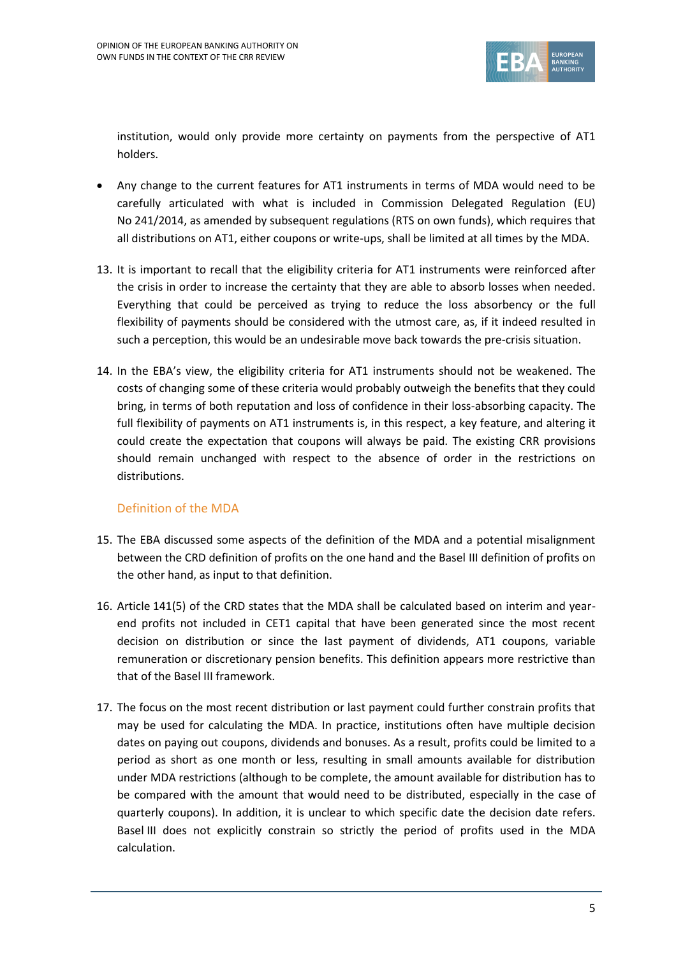

institution, would only provide more certainty on payments from the perspective of AT1 holders.

- Any change to the current features for AT1 instruments in terms of MDA would need to be carefully articulated with what is included in Commission Delegated Regulation (EU) No 241/2014, as amended by subsequent regulations (RTS on own funds), which requires that all distributions on AT1, either coupons or write-ups, shall be limited at all times by the MDA.
- 13. It is important to recall that the eligibility criteria for AT1 instruments were reinforced after the crisis in order to increase the certainty that they are able to absorb losses when needed. Everything that could be perceived as trying to reduce the loss absorbency or the full flexibility of payments should be considered with the utmost care, as, if it indeed resulted in such a perception, this would be an undesirable move back towards the pre-crisis situation.
- 14. In the EBA's view, the eligibility criteria for AT1 instruments should not be weakened. The costs of changing some of these criteria would probably outweigh the benefits that they could bring, in terms of both reputation and loss of confidence in their loss-absorbing capacity. The full flexibility of payments on AT1 instruments is, in this respect, a key feature, and altering it could create the expectation that coupons will always be paid. The existing CRR provisions should remain unchanged with respect to the absence of order in the restrictions on distributions.

# Definition of the MDA

- 15. The EBA discussed some aspects of the definition of the MDA and a potential misalignment between the CRD definition of profits on the one hand and the Basel III definition of profits on the other hand, as input to that definition.
- 16. Article 141(5) of the CRD states that the MDA shall be calculated based on interim and yearend profits not included in CET1 capital that have been generated since the most recent decision on distribution or since the last payment of dividends, AT1 coupons, variable remuneration or discretionary pension benefits. This definition appears more restrictive than that of the Basel III framework.
- 17. The focus on the most recent distribution or last payment could further constrain profits that may be used for calculating the MDA. In practice, institutions often have multiple decision dates on paying out coupons, dividends and bonuses. As a result, profits could be limited to a period as short as one month or less, resulting in small amounts available for distribution under MDA restrictions (although to be complete, the amount available for distribution has to be compared with the amount that would need to be distributed, especially in the case of quarterly coupons). In addition, it is unclear to which specific date the decision date refers. Basel III does not explicitly constrain so strictly the period of profits used in the MDA calculation.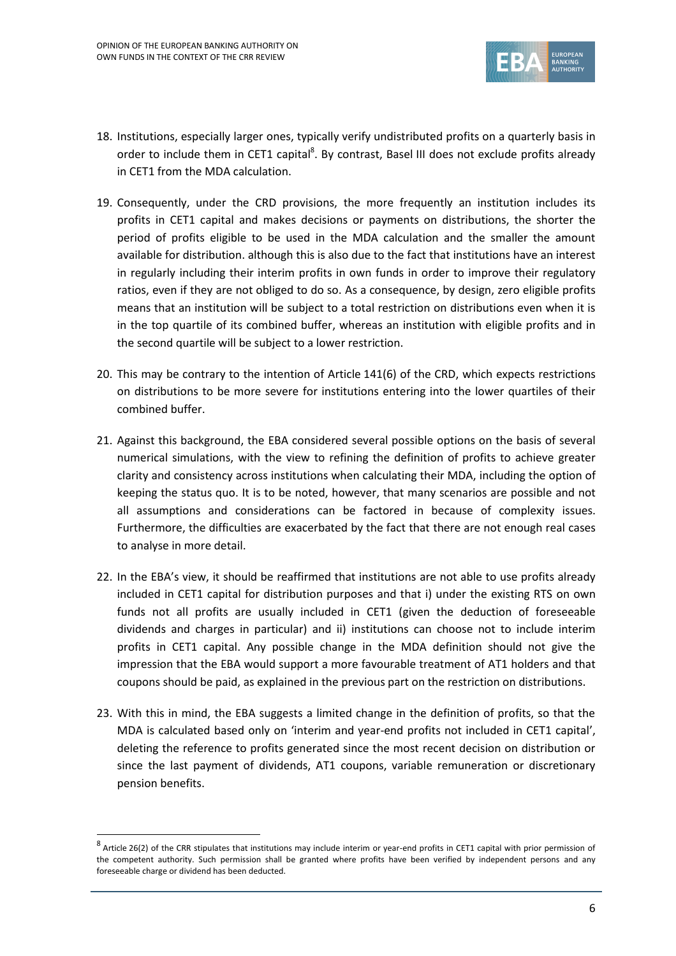

- 18. Institutions, especially larger ones, typically verify undistributed profits on a quarterly basis in order to include them in CET1 capital<sup>8</sup>. By contrast, Basel III does not exclude profits already in CET1 from the MDA calculation.
- 19. Consequently, under the CRD provisions, the more frequently an institution includes its profits in CET1 capital and makes decisions or payments on distributions, the shorter the period of profits eligible to be used in the MDA calculation and the smaller the amount available for distribution. although this is also due to the fact that institutions have an interest in regularly including their interim profits in own funds in order to improve their regulatory ratios, even if they are not obliged to do so. As a consequence, by design, zero eligible profits means that an institution will be subject to a total restriction on distributions even when it is in the top quartile of its combined buffer, whereas an institution with eligible profits and in the second quartile will be subject to a lower restriction.
- 20. This may be contrary to the intention of Article 141(6) of the CRD, which expects restrictions on distributions to be more severe for institutions entering into the lower quartiles of their combined buffer.
- 21. Against this background, the EBA considered several possible options on the basis of several numerical simulations, with the view to refining the definition of profits to achieve greater clarity and consistency across institutions when calculating their MDA, including the option of keeping the status quo. It is to be noted, however, that many scenarios are possible and not all assumptions and considerations can be factored in because of complexity issues. Furthermore, the difficulties are exacerbated by the fact that there are not enough real cases to analyse in more detail.
- 22. In the EBA's view, it should be reaffirmed that institutions are not able to use profits already included in CET1 capital for distribution purposes and that i) under the existing RTS on own funds not all profits are usually included in CET1 (given the deduction of foreseeable dividends and charges in particular) and ii) institutions can choose not to include interim profits in CET1 capital. Any possible change in the MDA definition should not give the impression that the EBA would support a more favourable treatment of AT1 holders and that coupons should be paid, as explained in the previous part on the restriction on distributions.
- 23. With this in mind, the EBA suggests a limited change in the definition of profits, so that the MDA is calculated based only on 'interim and year-end profits not included in CET1 capital', deleting the reference to profits generated since the most recent decision on distribution or since the last payment of dividends, AT1 coupons, variable remuneration or discretionary pension benefits.

1

 $^8$  Article 26(2) of the CRR stipulates that institutions may include interim or year-end profits in CET1 capital with prior permission of the competent authority. Such permission shall be granted where profits have been verified by independent persons and any foreseeable charge or dividend has been deducted.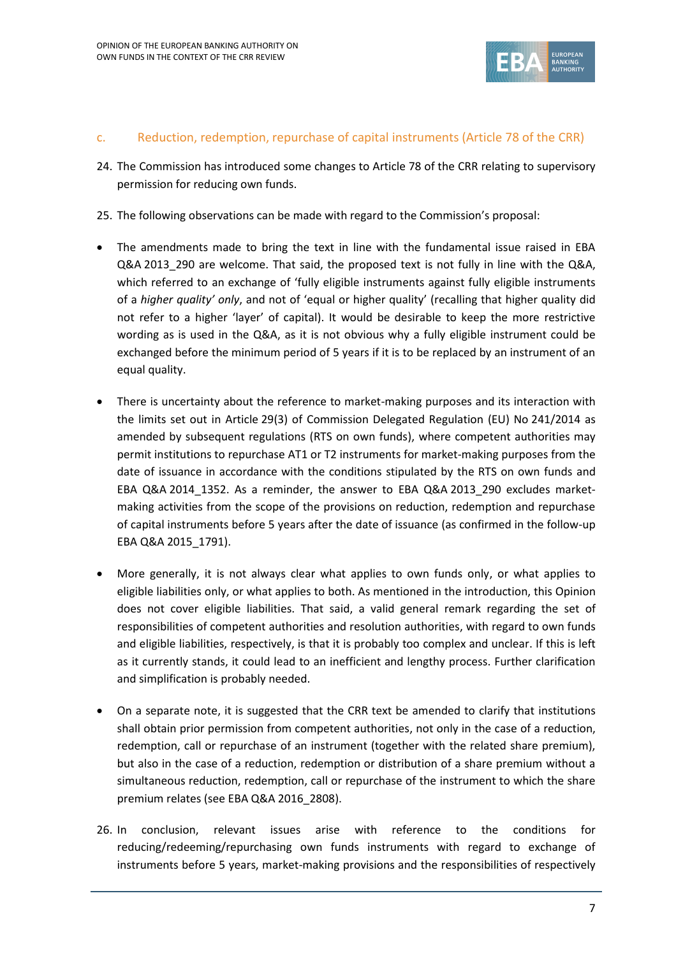

### c. Reduction, redemption, repurchase of capital instruments (Article 78 of the CRR)

- 24. The Commission has introduced some changes to Article 78 of the CRR relating to supervisory permission for reducing own funds.
- 25. The following observations can be made with regard to the Commission's proposal:
- The amendments made to bring the text in line with the fundamental issue raised in EBA Q&A 2013\_290 are welcome. That said, the proposed text is not fully in line with the Q&A, which referred to an exchange of 'fully eligible instruments against fully eligible instruments of a *higher quality' only*, and not of 'equal or higher quality' (recalling that higher quality did not refer to a higher 'layer' of capital). It would be desirable to keep the more restrictive wording as is used in the Q&A, as it is not obvious why a fully eligible instrument could be exchanged before the minimum period of 5 years if it is to be replaced by an instrument of an equal quality.
- There is uncertainty about the reference to market-making purposes and its interaction with the limits set out in Article 29(3) of Commission Delegated Regulation (EU) No 241/2014 as amended by subsequent regulations (RTS on own funds), where competent authorities may permit institutions to repurchase AT1 or T2 instruments for market-making purposes from the date of issuance in accordance with the conditions stipulated by the RTS on own funds and EBA Q&A 2014\_1352. As a reminder, the answer to EBA Q&A 2013\_290 excludes marketmaking activities from the scope of the provisions on reduction, redemption and repurchase of capital instruments before 5 years after the date of issuance (as confirmed in the follow-up EBA Q&A 2015\_1791).
- More generally, it is not always clear what applies to own funds only, or what applies to eligible liabilities only, or what applies to both. As mentioned in the introduction, this Opinion does not cover eligible liabilities. That said, a valid general remark regarding the set of responsibilities of competent authorities and resolution authorities, with regard to own funds and eligible liabilities, respectively, is that it is probably too complex and unclear. If this is left as it currently stands, it could lead to an inefficient and lengthy process. Further clarification and simplification is probably needed.
- On a separate note, it is suggested that the CRR text be amended to clarify that institutions shall obtain prior permission from competent authorities, not only in the case of a reduction, redemption, call or repurchase of an instrument (together with the related share premium), but also in the case of a reduction, redemption or distribution of a share premium without a simultaneous reduction, redemption, call or repurchase of the instrument to which the share premium relates (see EBA Q&A 2016\_2808).
- 26. In conclusion, relevant issues arise with reference to the conditions for reducing/redeeming/repurchasing own funds instruments with regard to exchange of instruments before 5 years, market-making provisions and the responsibilities of respectively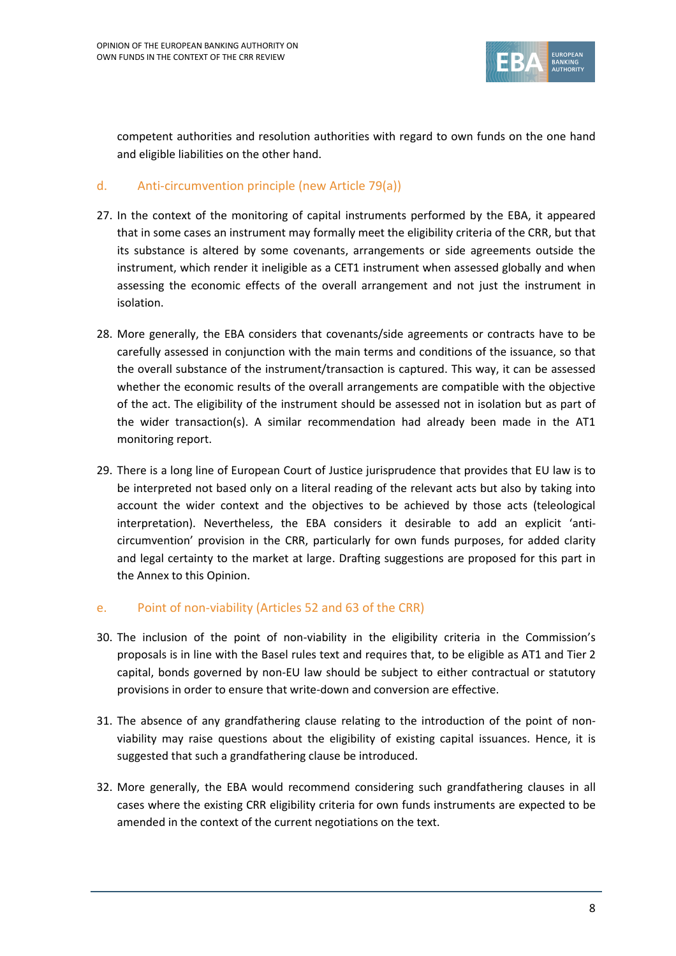

competent authorities and resolution authorities with regard to own funds on the one hand and eligible liabilities on the other hand.

### d. Anti-circumvention principle (new Article 79(a))

- 27. In the context of the monitoring of capital instruments performed by the EBA, it appeared that in some cases an instrument may formally meet the eligibility criteria of the CRR, but that its substance is altered by some covenants, arrangements or side agreements outside the instrument, which render it ineligible as a CET1 instrument when assessed globally and when assessing the economic effects of the overall arrangement and not just the instrument in isolation.
- 28. More generally, the EBA considers that covenants/side agreements or contracts have to be carefully assessed in conjunction with the main terms and conditions of the issuance, so that the overall substance of the instrument/transaction is captured. This way, it can be assessed whether the economic results of the overall arrangements are compatible with the objective of the act. The eligibility of the instrument should be assessed not in isolation but as part of the wider transaction(s). A similar recommendation had already been made in the AT1 monitoring report.
- 29. There is a long line of European Court of Justice jurisprudence that provides that EU law is to be interpreted not based only on a literal reading of the relevant acts but also by taking into account the wider context and the objectives to be achieved by those acts (teleological interpretation). Nevertheless, the EBA considers it desirable to add an explicit 'anticircumvention' provision in the CRR, particularly for own funds purposes, for added clarity and legal certainty to the market at large. Drafting suggestions are proposed for this part in the Annex to this Opinion.

#### e. Point of non-viability (Articles 52 and 63 of the CRR)

- 30. The inclusion of the point of non-viability in the eligibility criteria in the Commission's proposals is in line with the Basel rules text and requires that, to be eligible as AT1 and Tier 2 capital, bonds governed by non-EU law should be subject to either contractual or statutory provisions in order to ensure that write-down and conversion are effective.
- 31. The absence of any grandfathering clause relating to the introduction of the point of nonviability may raise questions about the eligibility of existing capital issuances. Hence, it is suggested that such a grandfathering clause be introduced.
- 32. More generally, the EBA would recommend considering such grandfathering clauses in all cases where the existing CRR eligibility criteria for own funds instruments are expected to be amended in the context of the current negotiations on the text.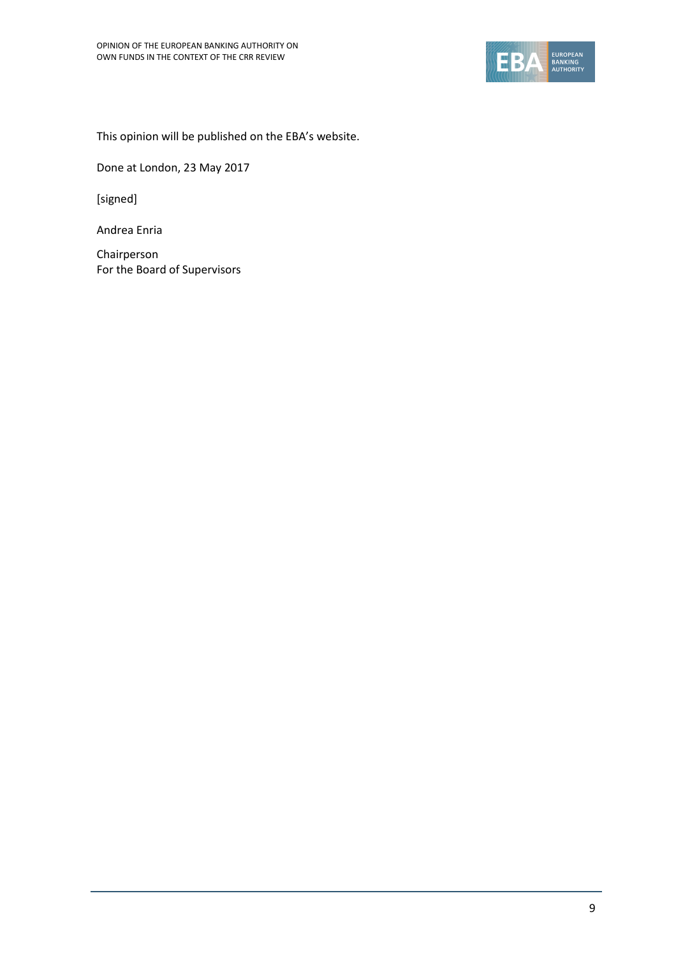

This opinion will be published on the EBA's website.

Done at London, 23 May 2017

[signed]

Andrea Enria

Chairperson For the Board of Supervisors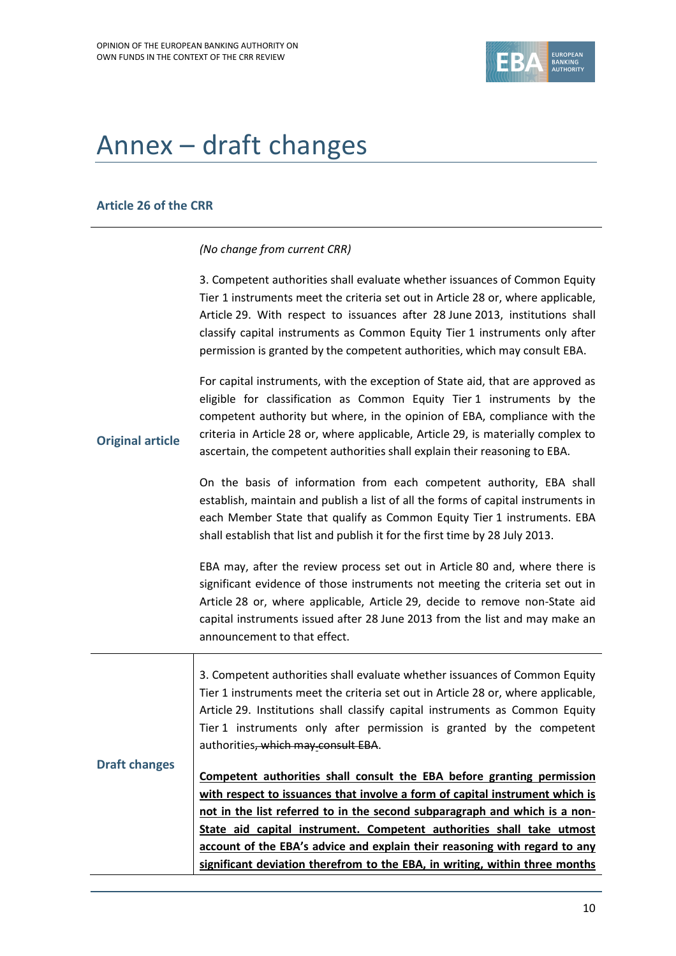

# Annex – draft changes

#### **Article 26 of the CRR**

#### *(No change from current CRR)*

3. Competent authorities shall evaluate whether issuances of Common Equity Tier 1 instruments meet the criteria set out in Article 28 or, where applicable, Article 29. With respect to issuances after 28 June 2013, institutions shall classify capital instruments as Common Equity Tier 1 instruments only after permission is granted by the competent authorities, which may consult EBA.

**Original article** For capital instruments, with the exception of State aid, that are approved as eligible for classification as Common Equity Tier 1 instruments by the competent authority but where, in the opinion of EBA, compliance with the criteria in Article 28 or, where applicable, Article 29, is materially complex to ascertain, the competent authorities shall explain their reasoning to EBA.

> On the basis of information from each competent authority, EBA shall establish, maintain and publish a list of all the forms of capital instruments in each Member State that qualify as Common Equity Tier 1 instruments. EBA shall establish that list and publish it for the first time by 28 July 2013.

> EBA may, after the review process set out in Article 80 and, where there is significant evidence of those instruments not meeting the criteria set out in Article 28 or, where applicable, Article 29, decide to remove non-State aid capital instruments issued after 28 June 2013 from the list and may make an announcement to that effect.

**Draft changes** 3. Competent authorities shall evaluate whether issuances of Common Equity Tier 1 instruments meet the criteria set out in Article 28 or, where applicable, Article 29. Institutions shall classify capital instruments as Common Equity Tier 1 instruments only after permission is granted by the competent authorities, which may consult EBA. **Competent authorities shall consult the EBA before granting permission with respect to issuances that involve a form of capital instrument which is not in the list referred to in the second subparagraph and which is a non-State aid capital instrument. Competent authorities shall take utmost account of the EBA's advice and explain their reasoning with regard to any significant deviation therefrom to the EBA, in writing, within three months**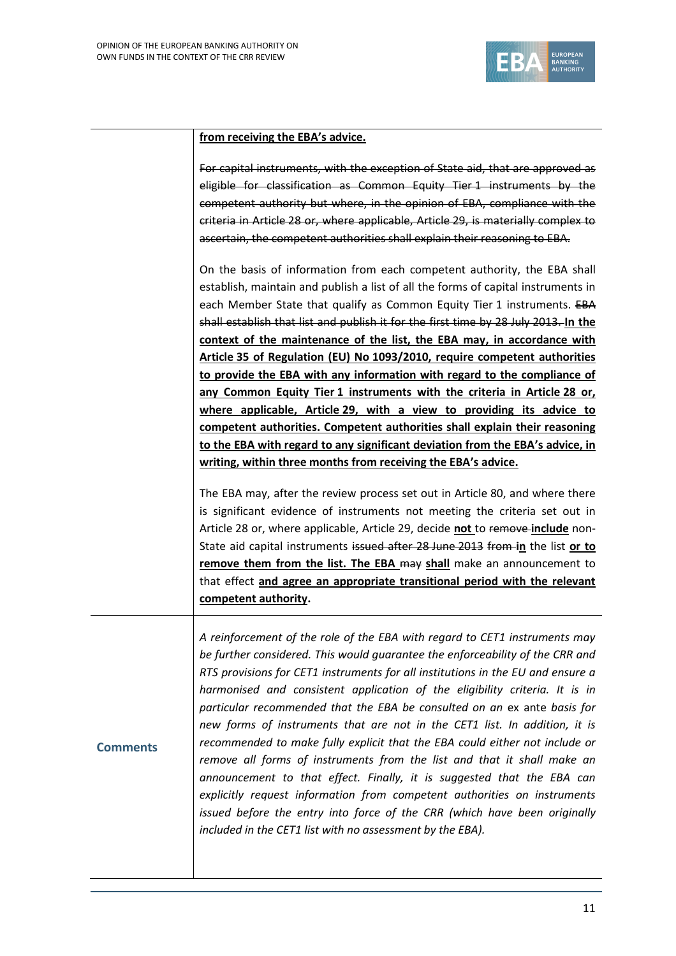**Comments**



#### **from receiving the EBA's advice.**

For capital instruments, with the exception of State aid, that are approved as eligible for classification as Common Equity Tier 1 instruments by the competent authority but where, in the opinion of EBA, compliance with the criteria in Article 28 or, where applicable, Article 29, is materially complex to ascertain, the competent authorities shall explain their reasoning to EBA.

On the basis of information from each competent authority, the EBA shall establish, maintain and publish a list of all the forms of capital instruments in each Member State that qualify as Common Equity Tier 1 instruments. EBA shall establish that list and publish it for the first time by 28 July 2013. **In the context of the maintenance of the list, the EBA may, in accordance with Article 35 of Regulation (EU) No 1093/2010, require competent authorities to provide the EBA with any information with regard to the compliance of any Common Equity Tier 1 instruments with the criteria in Article 28 or, where applicable, Article 29, with a view to providing its advice to competent authorities. Competent authorities shall explain their reasoning to the EBA with regard to any significant deviation from the EBA's advice, in writing, within three months from receiving the EBA's advice.**

The EBA may, after the review process set out in Article 80, and where there is significant evidence of instruments not meeting the criteria set out in Article 28 or, where applicable, Article 29, decide **not** to remove **include** non-State aid capital instruments issued after 28 June 2013 from **in** the list **or to remove them from the list. The EBA may shall** make an announcement to that effect **and agree an appropriate transitional period with the relevant competent authority.**

*A reinforcement of the role of the EBA with regard to CET1 instruments may be further considered. This would guarantee the enforceability of the CRR and RTS provisions for CET1 instruments for all institutions in the EU and ensure a harmonised and consistent application of the eligibility criteria. It is in particular recommended that the EBA be consulted on an* ex ante *basis for new forms of instruments that are not in the CET1 list. In addition, it is recommended to make fully explicit that the EBA could either not include or remove all forms of instruments from the list and that it shall make an announcement to that effect. Finally, it is suggested that the EBA can explicitly request information from competent authorities on instruments issued before the entry into force of the CRR (which have been originally included in the CET1 list with no assessment by the EBA).*